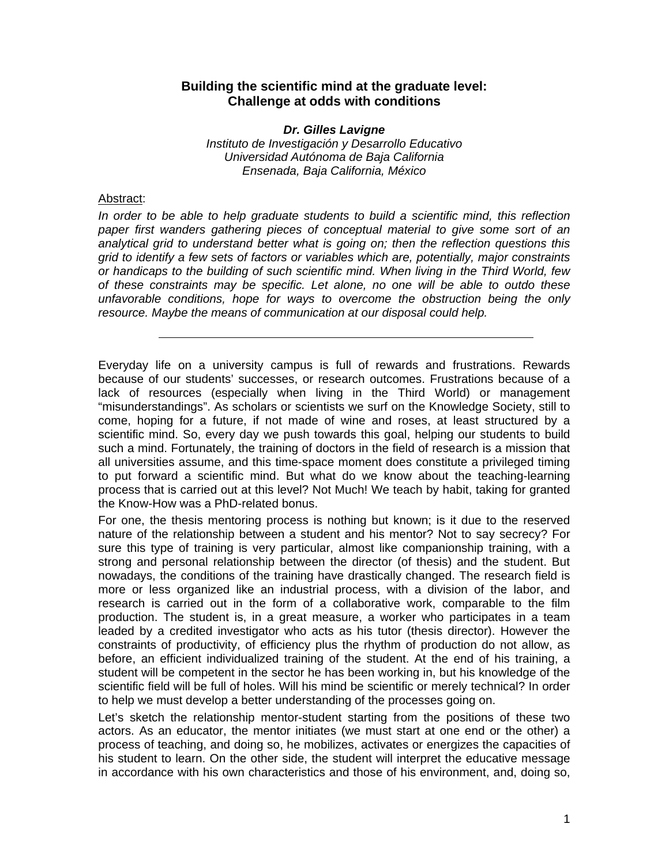## **Building the scientific mind at the graduate level: Challenge at odds with conditions**

*Dr. Gilles Lavigne Instituto de Investigación y Desarrollo Educativo Universidad Autónoma de Baja California Ensenada, Baja California, México*

## Abstract:

*In order to be able to help graduate students to build a scientific mind, this reflection paper first wanders gathering pieces of conceptual material to give some sort of an analytical grid to understand better what is going on; then the reflection questions this grid to identify a few sets of factors or variables which are, potentially, major constraints or handicaps to the building of such scientific mind. When living in the Third World, few of these constraints may be specific. Let alone, no one will be able to outdo these unfavorable conditions, hope for ways to overcome the obstruction being the only resource. Maybe the means of communication at our disposal could help.* 

Everyday life on a university campus is full of rewards and frustrations. Rewards because of our students' successes, or research outcomes. Frustrations because of a lack of resources (especially when living in the Third World) or management "misunderstandings". As scholars or scientists we surf on the Knowledge Society, still to come, hoping for a future, if not made of wine and roses, at least structured by a scientific mind. So, every day we push towards this goal, helping our students to build such a mind. Fortunately, the training of doctors in the field of research is a mission that all universities assume, and this time-space moment does constitute a privileged timing to put forward a scientific mind. But what do we know about the teaching-learning process that is carried out at this level? Not Much! We teach by habit, taking for granted the Know-How was a PhD-related bonus.

For one, the thesis mentoring process is nothing but known; is it due to the reserved nature of the relationship between a student and his mentor? Not to say secrecy? For sure this type of training is very particular, almost like companionship training, with a strong and personal relationship between the director (of thesis) and the student. But nowadays, the conditions of the training have drastically changed. The research field is more or less organized like an industrial process, with a division of the labor, and research is carried out in the form of a collaborative work, comparable to the film production. The student is, in a great measure, a worker who participates in a team leaded by a credited investigator who acts as his tutor (thesis director). However the constraints of productivity, of efficiency plus the rhythm of production do not allow, as before, an efficient individualized training of the student. At the end of his training, a student will be competent in the sector he has been working in, but his knowledge of the scientific field will be full of holes. Will his mind be scientific or merely technical? In order to help we must develop a better understanding of the processes going on.

Let's sketch the relationship mentor-student starting from the positions of these two actors. As an educator, the mentor initiates (we must start at one end or the other) a process of teaching, and doing so, he mobilizes, activates or energizes the capacities of his student to learn. On the other side, the student will interpret the educative message in accordance with his own characteristics and those of his environment, and, doing so,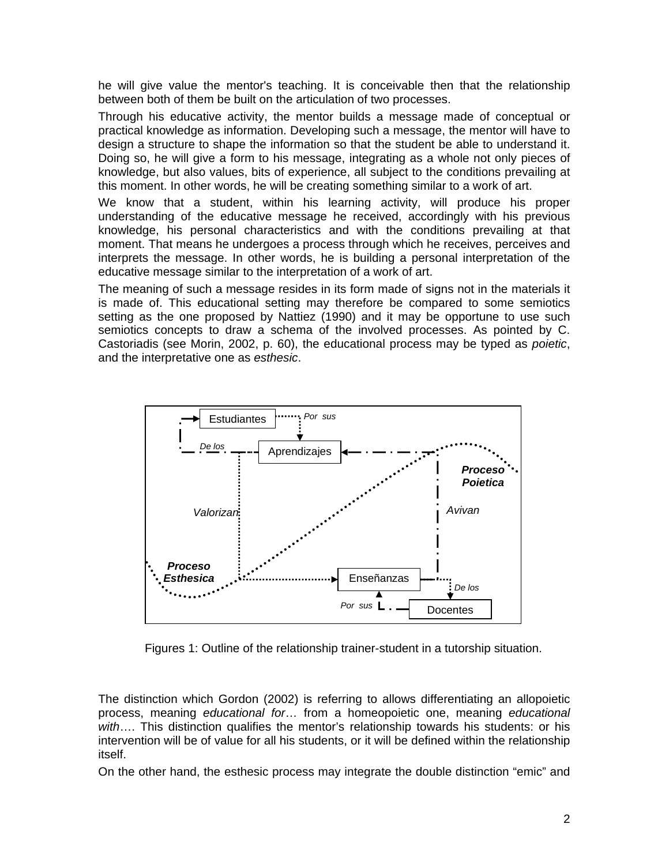he will give value the mentor's teaching. It is conceivable then that the relationship between both of them be built on the articulation of two processes.

Through his educative activity, the mentor builds a message made of conceptual or practical knowledge as information. Developing such a message, the mentor will have to design a structure to shape the information so that the student be able to understand it. Doing so, he will give a form to his message, integrating as a whole not only pieces of knowledge, but also values, bits of experience, all subject to the conditions prevailing at this moment. In other words, he will be creating something similar to a work of art.

We know that a student, within his learning activity, will produce his proper understanding of the educative message he received, accordingly with his previous knowledge, his personal characteristics and with the conditions prevailing at that moment. That means he undergoes a process through which he receives, perceives and interprets the message. In other words, he is building a personal interpretation of the educative message similar to the interpretation of a work of art.

The meaning of such a message resides in its form made of signs not in the materials it is made of. This educational setting may therefore be compared to some semiotics setting as the one proposed by Nattiez (1990) and it may be opportune to use such semiotics concepts to draw a schema of the involved processes. As pointed by C. Castoriadis (see Morin, 2002, p. 60), the educational process may be typed as *poietic*, and the interpretative one as *esthesic*.



Figures 1: Outline of the relationship trainer-student in a tutorship situation.

The distinction which Gordon (2002) is referring to allows differentiating an allopoietic process, meaning *educational for*… from a homeopoietic one, meaning *educational with*…. This distinction qualifies the mentor's relationship towards his students: or his intervention will be of value for all his students, or it will be defined within the relationship itself.

On the other hand, the esthesic process may integrate the double distinction "emic" and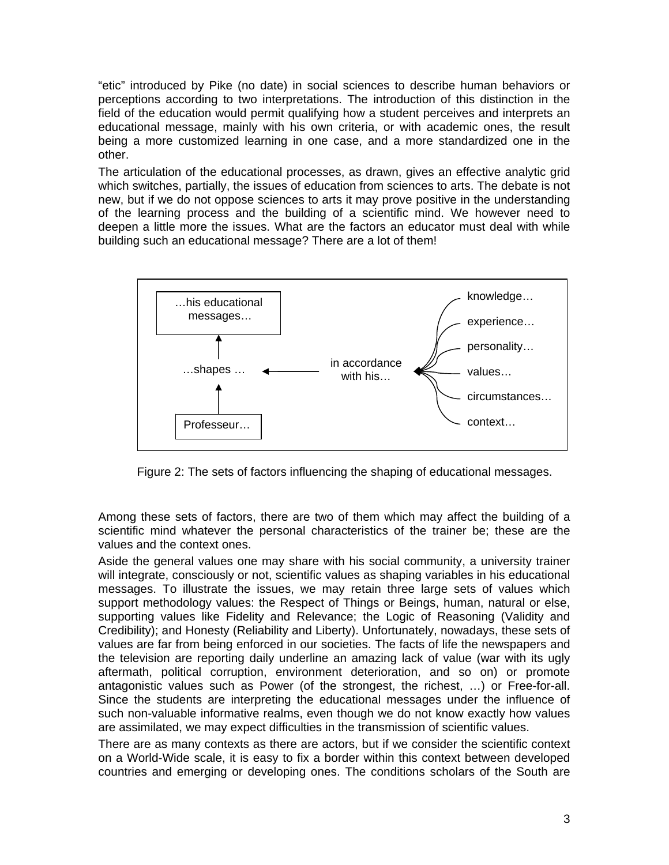"etic" introduced by Pike (no date) in social sciences to describe human behaviors or perceptions according to two interpretations. The introduction of this distinction in the field of the education would permit qualifying how a student perceives and interprets an educational message, mainly with his own criteria, or with academic ones, the result being a more customized learning in one case, and a more standardized one in the other.

The articulation of the educational processes, as drawn, gives an effective analytic grid which switches, partially, the issues of education from sciences to arts. The debate is not new, but if we do not oppose sciences to arts it may prove positive in the understanding of the learning process and the building of a scientific mind. We however need to deepen a little more the issues. What are the factors an educator must deal with while building such an educational message? There are a lot of them!



Figure 2: The sets of factors influencing the shaping of educational messages.

Among these sets of factors, there are two of them which may affect the building of a scientific mind whatever the personal characteristics of the trainer be; these are the values and the context ones.

Aside the general values one may share with his social community, a university trainer will integrate, consciously or not, scientific values as shaping variables in his educational messages. To illustrate the issues, we may retain three large sets of values which support methodology values: the Respect of Things or Beings, human, natural or else, supporting values like Fidelity and Relevance; the Logic of Reasoning (Validity and Credibility); and Honesty (Reliability and Liberty). Unfortunately, nowadays, these sets of values are far from being enforced in our societies. The facts of life the newspapers and the television are reporting daily underline an amazing lack of value (war with its ugly aftermath, political corruption, environment deterioration, and so on) or promote antagonistic values such as Power (of the strongest, the richest, …) or Free-for-all. Since the students are interpreting the educational messages under the influence of such non-valuable informative realms, even though we do not know exactly how values are assimilated, we may expect difficulties in the transmission of scientific values.

There are as many contexts as there are actors, but if we consider the scientific context on a World-Wide scale, it is easy to fix a border within this context between developed countries and emerging or developing ones. The conditions scholars of the South are